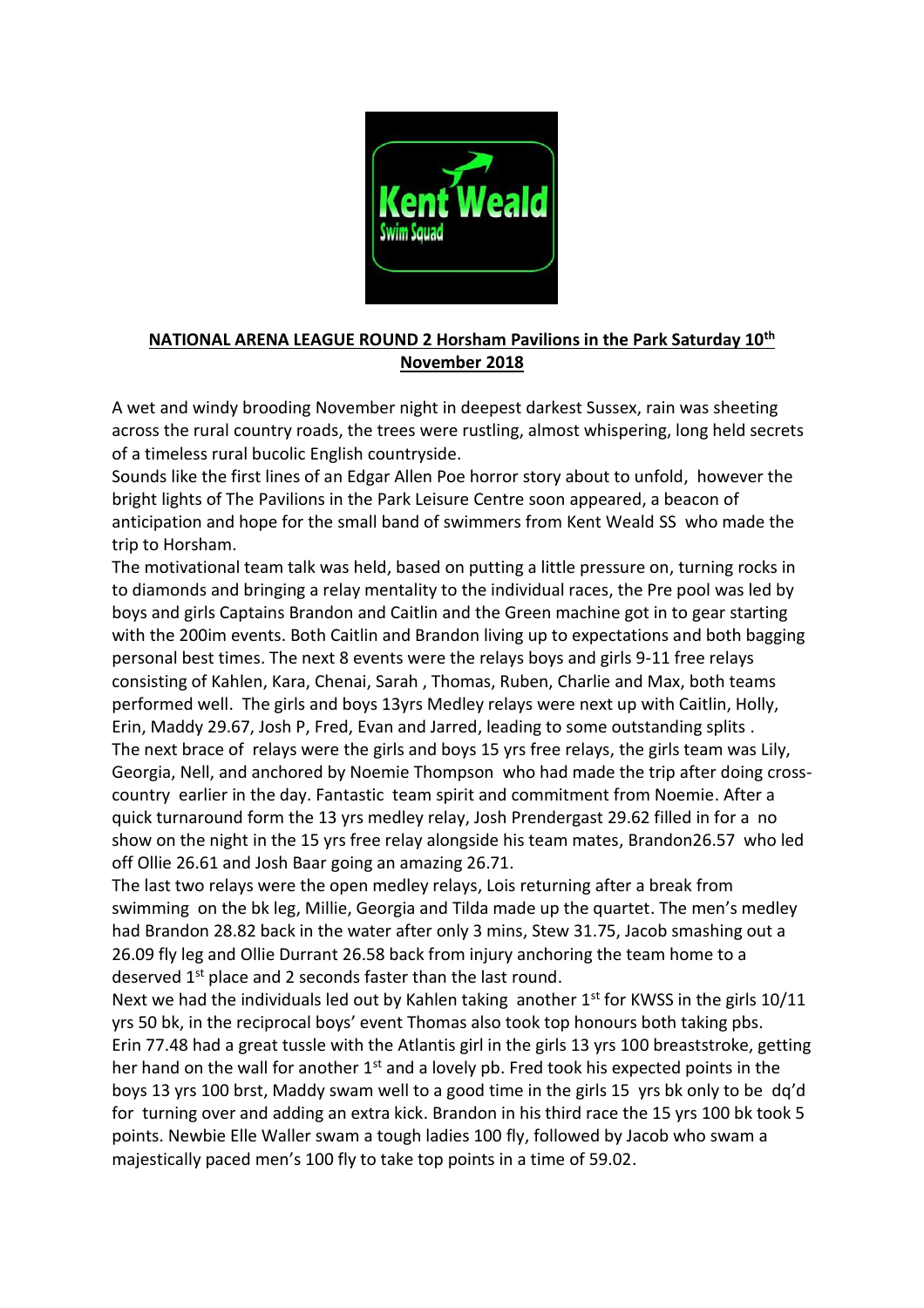

## **NATIONAL ARENA LEAGUE ROUND 2 Horsham Pavilions in the Park Saturday 10th November 2018**

A wet and windy brooding November night in deepest darkest Sussex, rain was sheeting across the rural country roads, the trees were rustling, almost whispering, long held secrets of a timeless rural bucolic English countryside.

Sounds like the first lines of an Edgar Allen Poe horror story about to unfold, however the bright lights of The Pavilions in the Park Leisure Centre soon appeared, a beacon of anticipation and hope for the small band of swimmers from Kent Weald SS who made the trip to Horsham.

The motivational team talk was held, based on putting a little pressure on, turning rocks in to diamonds and bringing a relay mentality to the individual races, the Pre pool was led by boys and girls Captains Brandon and Caitlin and the Green machine got in to gear starting with the 200im events. Both Caitlin and Brandon living up to expectations and both bagging personal best times. The next 8 events were the relays boys and girls 9-11 free relays consisting of Kahlen, Kara, Chenai, Sarah , Thomas, Ruben, Charlie and Max, both teams performed well. The girls and boys 13yrs Medley relays were next up with Caitlin, Holly, Erin, Maddy 29.67, Josh P, Fred, Evan and Jarred, leading to some outstanding splits . The next brace of relays were the girls and boys 15 yrs free relays, the girls team was Lily, Georgia, Nell, and anchored by Noemie Thompson who had made the trip after doing crosscountry earlier in the day. Fantastic team spirit and commitment from Noemie. After a quick turnaround form the 13 yrs medley relay, Josh Prendergast 29.62 filled in for a no show on the night in the 15 yrs free relay alongside his team mates, Brandon26.57 who led off Ollie 26.61 and Josh Baar going an amazing 26.71.

The last two relays were the open medley relays, Lois returning after a break from swimming on the bk leg, Millie, Georgia and Tilda made up the quartet. The men's medley had Brandon 28.82 back in the water after only 3 mins, Stew 31.75, Jacob smashing out a 26.09 fly leg and Ollie Durrant 26.58 back from injury anchoring the team home to a deserved 1<sup>st</sup> place and 2 seconds faster than the last round.

Next we had the individuals led out by Kahlen taking another  $1<sup>st</sup>$  for KWSS in the girls 10/11 yrs 50 bk, in the reciprocal boys' event Thomas also took top honours both taking pbs. Erin 77.48 had a great tussle with the Atlantis girl in the girls 13 yrs 100 breaststroke, getting her hand on the wall for another  $1<sup>st</sup>$  and a lovely pb. Fred took his expected points in the boys 13 yrs 100 brst, Maddy swam well to a good time in the girls 15 yrs bk only to be dq'd for turning over and adding an extra kick. Brandon in his third race the 15 yrs 100 bk took 5 points. Newbie Elle Waller swam a tough ladies 100 fly, followed by Jacob who swam a majestically paced men's 100 fly to take top points in a time of 59.02.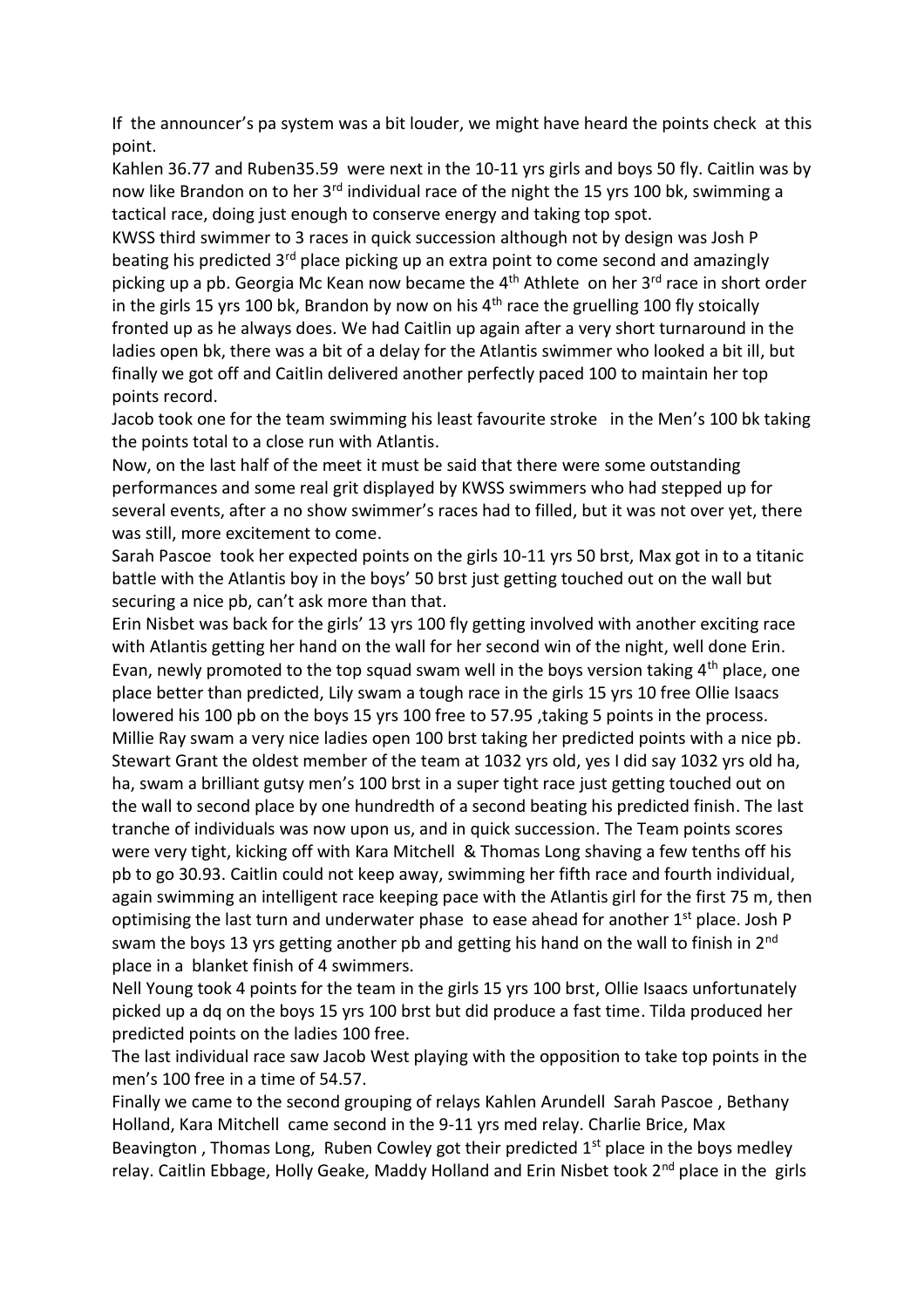If the announcer's pa system was a bit louder, we might have heard the points check at this point.

Kahlen 36.77 and Ruben35.59 were next in the 10-11 yrs girls and boys 50 fly. Caitlin was by now like Brandon on to her 3<sup>rd</sup> individual race of the night the 15 yrs 100 bk, swimming a tactical race, doing just enough to conserve energy and taking top spot.

KWSS third swimmer to 3 races in quick succession although not by design was Josh P beating his predicted 3<sup>rd</sup> place picking up an extra point to come second and amazingly picking up a pb. Georgia Mc Kean now became the  $4<sup>th</sup>$  Athlete on her  $3<sup>rd</sup>$  race in short order in the girls 15 yrs 100 bk, Brandon by now on his 4<sup>th</sup> race the gruelling 100 fly stoically fronted up as he always does. We had Caitlin up again after a very short turnaround in the ladies open bk, there was a bit of a delay for the Atlantis swimmer who looked a bit ill, but finally we got off and Caitlin delivered another perfectly paced 100 to maintain her top points record.

Jacob took one for the team swimming his least favourite stroke in the Men's 100 bk taking the points total to a close run with Atlantis.

Now, on the last half of the meet it must be said that there were some outstanding performances and some real grit displayed by KWSS swimmers who had stepped up for several events, after a no show swimmer's races had to filled, but it was not over yet, there was still, more excitement to come.

Sarah Pascoe took her expected points on the girls 10-11 yrs 50 brst, Max got in to a titanic battle with the Atlantis boy in the boys' 50 brst just getting touched out on the wall but securing a nice pb, can't ask more than that.

Erin Nisbet was back for the girls' 13 yrs 100 fly getting involved with another exciting race with Atlantis getting her hand on the wall for her second win of the night, well done Erin. Evan, newly promoted to the top squad swam well in the boys version taking 4<sup>th</sup> place, one place better than predicted, Lily swam a tough race in the girls 15 yrs 10 free Ollie Isaacs lowered his 100 pb on the boys 15 yrs 100 free to 57.95 ,taking 5 points in the process. Millie Ray swam a very nice ladies open 100 brst taking her predicted points with a nice pb. Stewart Grant the oldest member of the team at 1032 yrs old, yes I did say 1032 yrs old ha, ha, swam a brilliant gutsy men's 100 brst in a super tight race just getting touched out on the wall to second place by one hundredth of a second beating his predicted finish. The last tranche of individuals was now upon us, and in quick succession. The Team points scores were very tight, kicking off with Kara Mitchell & Thomas Long shaving a few tenths off his pb to go 30.93. Caitlin could not keep away, swimming her fifth race and fourth individual, again swimming an intelligent race keeping pace with the Atlantis girl for the first 75 m, then optimising the last turn and underwater phase to ease ahead for another  $1<sup>st</sup>$  place. Josh P swam the boys 13 yrs getting another pb and getting his hand on the wall to finish in 2<sup>nd</sup> place in a blanket finish of 4 swimmers.

Nell Young took 4 points for the team in the girls 15 yrs 100 brst, Ollie Isaacs unfortunately picked up a dq on the boys 15 yrs 100 brst but did produce a fast time. Tilda produced her predicted points on the ladies 100 free.

The last individual race saw Jacob West playing with the opposition to take top points in the men's 100 free in a time of 54.57.

Finally we came to the second grouping of relays Kahlen Arundell Sarah Pascoe , Bethany Holland, Kara Mitchell came second in the 9-11 yrs med relay. Charlie Brice, Max Beavington, Thomas Long, Ruben Cowley got their predicted  $1<sup>st</sup>$  place in the boys medley relay. Caitlin Ebbage, Holly Geake, Maddy Holland and Erin Nisbet took 2<sup>nd</sup> place in the girls